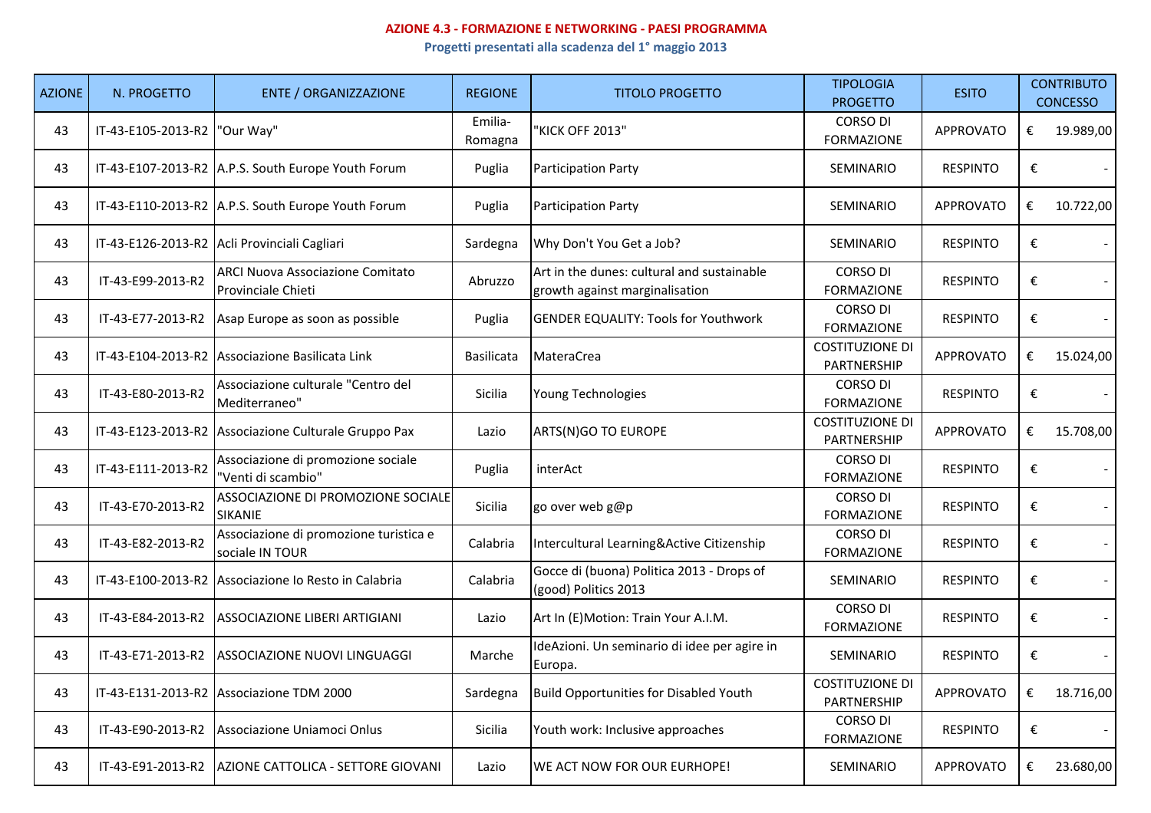## **AZIONE 4.3 - FORMAZIONE E NETWORKING - PAESI PROGRAMMA**

**Progetti presentati alla scadenza del 1° maggio 2013**

| <b>AZIONE</b> | N. PROGETTO        | <b>ENTE / ORGANIZZAZIONE</b>                              | <b>REGIONE</b>     | <b>TITOLO PROGETTO</b>                                                       | <b>TIPOLOGIA</b><br><b>PROGETTO</b>   | <b>ESITO</b>     | <b>CONTRIBUTO</b><br><b>CONCESSO</b> |                |
|---------------|--------------------|-----------------------------------------------------------|--------------------|------------------------------------------------------------------------------|---------------------------------------|------------------|--------------------------------------|----------------|
| 43            | IT-43-E105-2013-R2 | "Our Way"                                                 | Emilia-<br>Romagna | 'KICK OFF 2013"                                                              | <b>CORSO DI</b><br><b>FORMAZIONE</b>  | <b>APPROVATO</b> | €                                    | 19.989,00      |
| 43            |                    | IT-43-E107-2013-R2 A.P.S. South Europe Youth Forum        | Puglia             | <b>Participation Party</b>                                                   | <b>SEMINARIO</b>                      | <b>RESPINTO</b>  | €                                    |                |
| 43            |                    | IT-43-E110-2013-R2 A.P.S. South Europe Youth Forum        | Puglia             | <b>Participation Party</b>                                                   | <b>SEMINARIO</b>                      | <b>APPROVATO</b> | €                                    | 10.722,00      |
| 43            |                    | IT-43-E126-2013-R2 Acli Provinciali Cagliari              | Sardegna           | Why Don't You Get a Job?                                                     | <b>SEMINARIO</b>                      | <b>RESPINTO</b>  | €                                    |                |
| 43            | IT-43-E99-2013-R2  | ARCI Nuova Associazione Comitato<br>Provinciale Chieti    | Abruzzo            | Art in the dunes: cultural and sustainable<br>growth against marginalisation | <b>CORSO DI</b><br><b>FORMAZIONE</b>  | <b>RESPINTO</b>  | €                                    |                |
| 43            |                    | IT-43-E77-2013-R2 Asap Europe as soon as possible         | Puglia             | <b>GENDER EQUALITY: Tools for Youthwork</b>                                  | <b>CORSO DI</b><br><b>FORMAZIONE</b>  | <b>RESPINTO</b>  | €                                    |                |
| 43            |                    | IT-43-E104-2013-R2 Associazione Basilicata Link           | Basilicata         | <b>MateraCrea</b>                                                            | <b>COSTITUZIONE DI</b><br>PARTNERSHIP | <b>APPROVATO</b> | €                                    | 15.024,00      |
| 43            | IT-43-E80-2013-R2  | Associazione culturale "Centro del<br>Mediterraneo"       | Sicilia            | Young Technologies                                                           | <b>CORSO DI</b><br><b>FORMAZIONE</b>  | <b>RESPINTO</b>  | €                                    |                |
| 43            |                    | IT-43-E123-2013-R2 Associazione Culturale Gruppo Pax      | Lazio              | ARTS(N)GO TO EUROPE                                                          | <b>COSTITUZIONE DI</b><br>PARTNERSHIP | <b>APPROVATO</b> | €                                    | 15.708,00      |
| 43            | IT-43-E111-2013-R2 | Associazione di promozione sociale<br>"Venti di scambio"  | Puglia             | interAct                                                                     | <b>CORSO DI</b><br><b>FORMAZIONE</b>  | <b>RESPINTO</b>  | €                                    | $\blacksquare$ |
| 43            | IT-43-E70-2013-R2  | ASSOCIAZIONE DI PROMOZIONE SOCIALE<br>SIKANIE             | Sicilia            | go over web g@p                                                              | <b>CORSO DI</b><br><b>FORMAZIONE</b>  | <b>RESPINTO</b>  | €                                    | $\blacksquare$ |
| 43            | IT-43-E82-2013-R2  | Associazione di promozione turistica e<br>sociale IN TOUR | Calabria           | Intercultural Learning&Active Citizenship                                    | <b>CORSO DI</b><br><b>FORMAZIONE</b>  | <b>RESPINTO</b>  | €                                    | $\blacksquare$ |
| 43            |                    | IT-43-E100-2013-R2 Associazione lo Resto in Calabria      | Calabria           | Gocce di (buona) Politica 2013 - Drops of<br>(good) Politics 2013            | SEMINARIO                             | <b>RESPINTO</b>  | €                                    | $\blacksquare$ |
| 43            | IT-43-E84-2013-R2  | ASSOCIAZIONE LIBERI ARTIGIANI                             | Lazio              | Art In (E)Motion: Train Your A.I.M.                                          | <b>CORSO DI</b><br><b>FORMAZIONE</b>  | <b>RESPINTO</b>  | €                                    | $\blacksquare$ |
| 43            | IT-43-E71-2013-R2  | ASSOCIAZIONE NUOVI LINGUAGGI                              | Marche             | IdeAzioni. Un seminario di idee per agire in<br>Europa.                      | SEMINARIO                             | <b>RESPINTO</b>  | €                                    | $\blacksquare$ |
| 43            |                    | IT-43-E131-2013-R2 Associazione TDM 2000                  | Sardegna           | Build Opportunities for Disabled Youth                                       | <b>COSTITUZIONE DI</b><br>PARTNERSHIP | <b>APPROVATO</b> | €                                    | 18.716,00      |
| 43            | IT-43-E90-2013-R2  | Associazione Uniamoci Onlus                               | Sicilia            | Youth work: Inclusive approaches                                             | <b>CORSO DI</b><br><b>FORMAZIONE</b>  | <b>RESPINTO</b>  | €                                    |                |
| 43            |                    | IT-43-E91-2013-R2 AZIONE CATTOLICA - SETTORE GIOVANI      | Lazio              | WE ACT NOW FOR OUR EURHOPE!                                                  | <b>SEMINARIO</b>                      | <b>APPROVATO</b> | €                                    | 23.680,00      |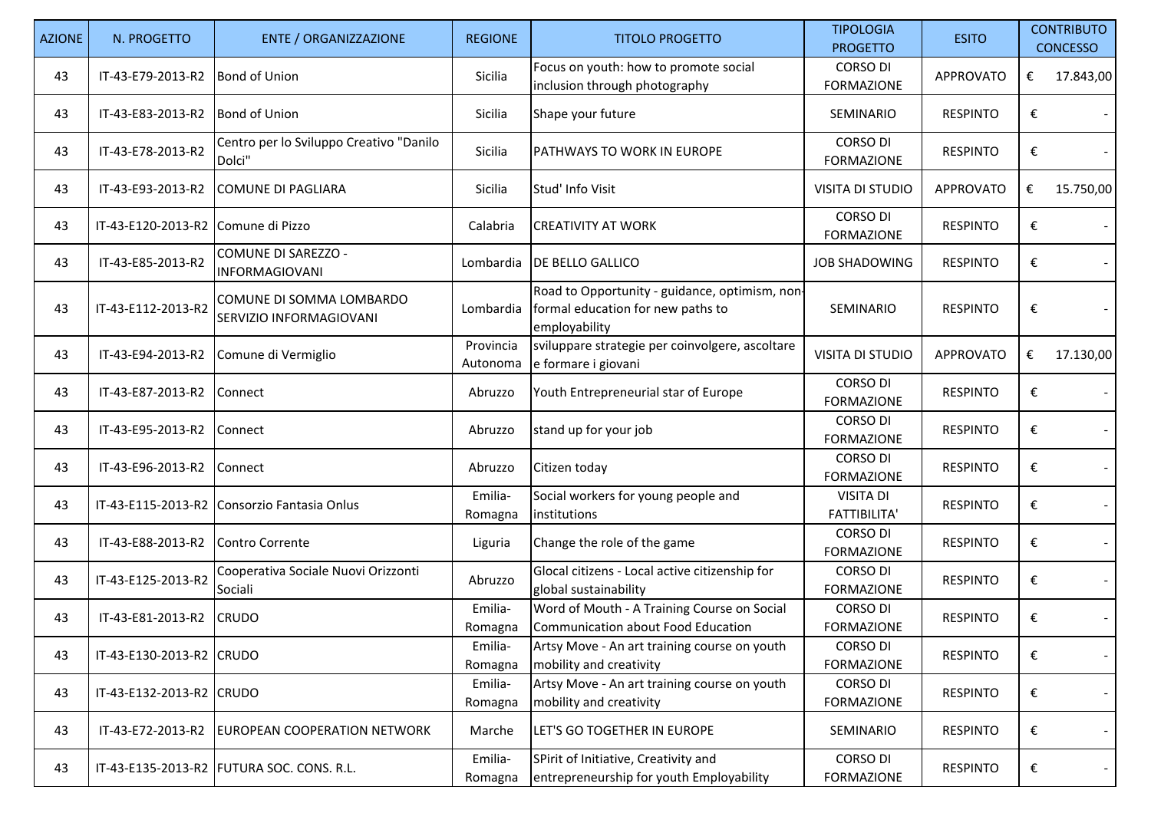| <b>AZIONE</b> | N. PROGETTO                        | <b>ENTE / ORGANIZZAZIONE</b>                        | <b>REGIONE</b>        | <b>TITOLO PROGETTO</b>                                                                               | <b>TIPOLOGIA</b><br><b>PROGETTO</b>     | <b>ESITO</b>     | <b>CONTRIBUTO</b><br><b>CONCESSO</b> |
|---------------|------------------------------------|-----------------------------------------------------|-----------------------|------------------------------------------------------------------------------------------------------|-----------------------------------------|------------------|--------------------------------------|
| 43            | IT-43-E79-2013-R2                  | <b>Bond of Union</b>                                | Sicilia               | Focus on youth: how to promote social<br>inclusion through photography                               | CORSO DI<br><b>FORMAZIONE</b>           | <b>APPROVATO</b> | €<br>17.843,00                       |
| 43            | IT-43-E83-2013-R2                  | <b>Bond of Union</b>                                | Sicilia               | Shape your future                                                                                    | SEMINARIO                               | <b>RESPINTO</b>  | €                                    |
| 43            | IT-43-E78-2013-R2                  | Centro per lo Sviluppo Creativo "Danilo<br>Dolci"   | Sicilia               | <b>PATHWAYS TO WORK IN EUROPE</b>                                                                    | <b>CORSO DI</b><br><b>FORMAZIONE</b>    | <b>RESPINTO</b>  | €                                    |
| 43            | IT-43-E93-2013-R2                  | <b>COMUNE DI PAGLIARA</b>                           | Sicilia               | Stud' Info Visit                                                                                     | <b>VISITA DI STUDIO</b>                 | <b>APPROVATO</b> | 15.750,00<br>€                       |
| 43            | IT-43-E120-2013-R2 Comune di Pizzo |                                                     | Calabria              | <b>CREATIVITY AT WORK</b>                                                                            | <b>CORSO DI</b><br><b>FORMAZIONE</b>    | <b>RESPINTO</b>  | €                                    |
| 43            | IT-43-E85-2013-R2                  | COMUNE DI SAREZZO -<br><b>INFORMAGIOVANI</b>        | Lombardia             | <b>DE BELLO GALLICO</b>                                                                              | <b>JOB SHADOWING</b>                    | <b>RESPINTO</b>  | €                                    |
| 43            | IT-43-E112-2013-R2                 | COMUNE DI SOMMA LOMBARDO<br>SERVIZIO INFORMAGIOVANI | Lombardia             | Road to Opportunity - guidance, optimism, non-<br>formal education for new paths to<br>employability | <b>SEMINARIO</b>                        | <b>RESPINTO</b>  | €                                    |
| 43            | IT-43-E94-2013-R2                  | Comune di Vermiglio                                 | Provincia<br>Autonoma | sviluppare strategie per coinvolgere, ascoltare<br>e formare i giovani                               | <b>VISITA DI STUDIO</b>                 | APPROVATO        | €<br>17.130,00                       |
| 43            | IT-43-E87-2013-R2                  | Connect                                             | Abruzzo               | Youth Entrepreneurial star of Europe                                                                 | <b>CORSO DI</b><br><b>FORMAZIONE</b>    | <b>RESPINTO</b>  | €<br>$\sim$                          |
| 43            | IT-43-E95-2013-R2                  | Connect                                             | Abruzzo               | stand up for your job                                                                                | <b>CORSO DI</b><br><b>FORMAZIONE</b>    | <b>RESPINTO</b>  | €                                    |
| 43            | IT-43-E96-2013-R2                  | Connect                                             | Abruzzo               | Citizen today                                                                                        | <b>CORSO DI</b><br><b>FORMAZIONE</b>    | <b>RESPINTO</b>  | €                                    |
| 43            |                                    | IT-43-E115-2013-R2 Consorzio Fantasia Onlus         | Emilia-<br>Romagna    | Social workers for young people and<br>institutions                                                  | <b>VISITA DI</b><br><b>FATTIBILITA'</b> | <b>RESPINTO</b>  | €                                    |
| 43            | IT-43-E88-2013-R2                  | Contro Corrente                                     | Liguria               | Change the role of the game                                                                          | <b>CORSO DI</b><br><b>FORMAZIONE</b>    | <b>RESPINTO</b>  | €                                    |
| 43            | IT-43-E125-2013-R2                 | Cooperativa Sociale Nuovi Orizzonti<br>Sociali      | Abruzzo               | Glocal citizens - Local active citizenship for<br>global sustainability                              | <b>CORSO DI</b><br><b>FORMAZIONE</b>    | <b>RESPINTO</b>  | €                                    |
| 43            | IT-43-E81-2013-R2                  | <b>CRUDO</b>                                        | Emilia-<br>Romagna    | Word of Mouth - A Training Course on Social<br>Communication about Food Education                    | <b>CORSO DI</b><br><b>FORMAZIONE</b>    | <b>RESPINTO</b>  | €                                    |
| 43            | IT-43-E130-2013-R2 CRUDO           |                                                     | Emilia-<br>Romagna    | Artsy Move - An art training course on youth<br>mobility and creativity                              | <b>CORSO DI</b><br><b>FORMAZIONE</b>    | <b>RESPINTO</b>  | €<br>$\sim$                          |
| 43            | IT-43-E132-2013-R2 CRUDO           |                                                     | Emilia-<br>Romagna    | Artsy Move - An art training course on youth<br>mobility and creativity                              | <b>CORSO DI</b><br><b>FORMAZIONE</b>    | <b>RESPINTO</b>  | €<br>$\blacksquare$                  |
| 43            | IT-43-E72-2013-R2                  | <b>EUROPEAN COOPERATION NETWORK</b>                 | Marche                | LET'S GO TOGETHER IN EUROPE                                                                          | SEMINARIO                               | <b>RESPINTO</b>  | €<br>$\blacksquare$                  |
| 43            |                                    | IT-43-E135-2013-R2 FUTURA SOC. CONS. R.L.           | Emilia-<br>Romagna    | SPirit of Initiative, Creativity and<br>entrepreneurship for youth Employability                     | <b>CORSO DI</b><br><b>FORMAZIONE</b>    | <b>RESPINTO</b>  | €<br>$\blacksquare$                  |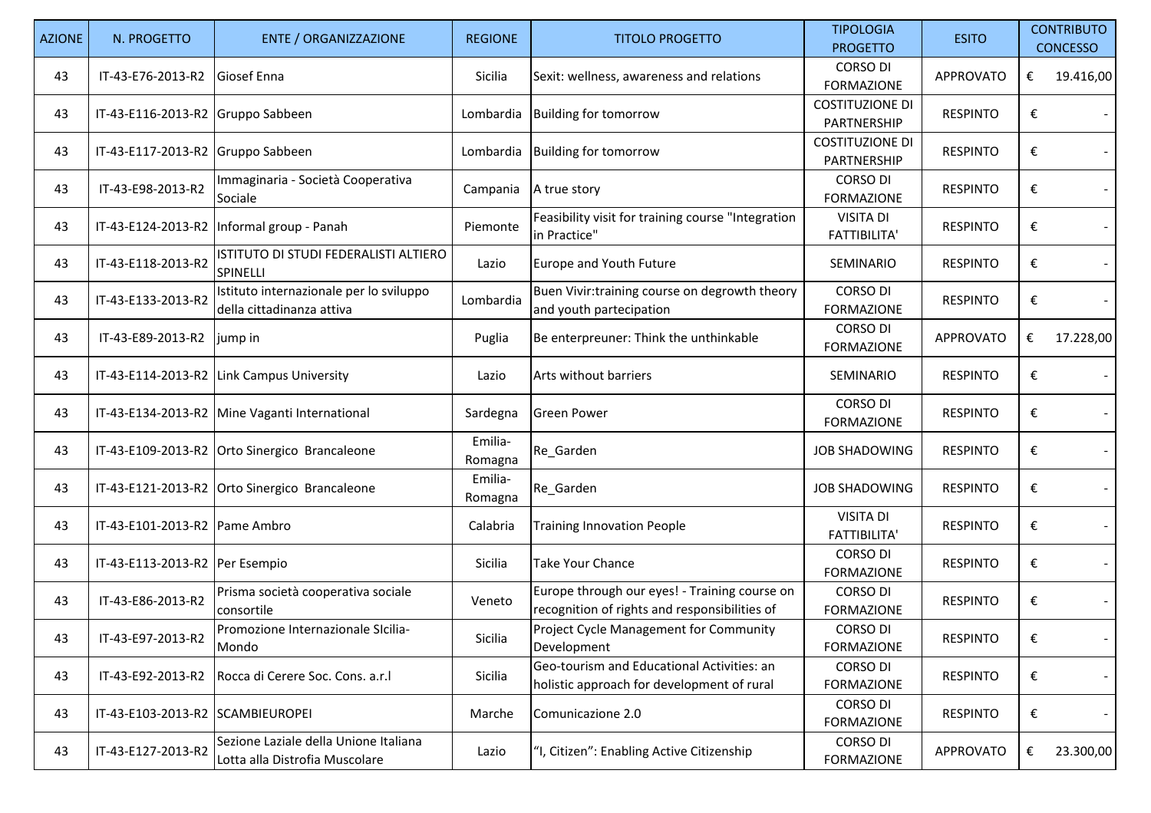| <b>AZIONE</b> | N. PROGETTO                       | <b>ENTE / ORGANIZZAZIONE</b>                                            | <b>REGIONE</b>     | <b>TITOLO PROGETTO</b>                                                                         | <b>TIPOLOGIA</b><br><b>PROGETTO</b>     | <b>ESITO</b>     |   | <b>CONTRIBUTO</b><br><b>CONCESSO</b> |
|---------------|-----------------------------------|-------------------------------------------------------------------------|--------------------|------------------------------------------------------------------------------------------------|-----------------------------------------|------------------|---|--------------------------------------|
| 43            | IT-43-E76-2013-R2                 | Giosef Enna                                                             | Sicilia            | Sexit: wellness, awareness and relations                                                       | <b>CORSO DI</b><br><b>FORMAZIONE</b>    | APPROVATO        | € | 19.416,00                            |
| 43            | IT-43-E116-2013-R2 Gruppo Sabbeen |                                                                         | Lombardia          | <b>Building for tomorrow</b>                                                                   | <b>COSTITUZIONE DI</b><br>PARTNERSHIP   | <b>RESPINTO</b>  | € |                                      |
| 43            | IT-43-E117-2013-R2 Gruppo Sabbeen |                                                                         | Lombardia          | <b>Building for tomorrow</b>                                                                   | <b>COSTITUZIONE DI</b><br>PARTNERSHIP   | <b>RESPINTO</b>  | € |                                      |
| 43            | IT-43-E98-2013-R2                 | Immaginaria - Società Cooperativa<br>Sociale                            | Campania           | A true story                                                                                   | <b>CORSO DI</b><br><b>FORMAZIONE</b>    | <b>RESPINTO</b>  | € |                                      |
| 43            |                                   | IT-43-E124-2013-R2   Informal group - Panah                             | Piemonte           | Feasibility visit for training course "Integration<br>in Practice"                             | <b>VISITA DI</b><br><b>FATTIBILITA'</b> | <b>RESPINTO</b>  | € |                                      |
| 43            | IT-43-E118-2013-R2                | ISTITUTO DI STUDI FEDERALISTI ALTIERO<br>SPINELLI                       | Lazio              | Europe and Youth Future                                                                        | SEMINARIO                               | <b>RESPINTO</b>  | € |                                      |
| 43            | IT-43-E133-2013-R2                | Istituto internazionale per lo sviluppo<br>della cittadinanza attiva    | Lombardia          | Buen Vivir:training course on degrowth theory<br>and youth partecipation                       | <b>CORSO DI</b><br><b>FORMAZIONE</b>    | <b>RESPINTO</b>  | € |                                      |
| 43            | IT-43-E89-2013-R2                 | jump in                                                                 | Puglia             | Be enterpreuner: Think the unthinkable                                                         | <b>CORSO DI</b><br><b>FORMAZIONE</b>    | <b>APPROVATO</b> | € | 17.228,00                            |
| 43            |                                   | IT-43-E114-2013-R2 Link Campus University                               | Lazio              | Arts without barriers                                                                          | SEMINARIO                               | <b>RESPINTO</b>  | € |                                      |
| 43            |                                   | IT-43-E134-2013-R2 Mine Vaganti International                           | Sardegna           | <b>Green Power</b>                                                                             | <b>CORSO DI</b><br><b>FORMAZIONE</b>    | <b>RESPINTO</b>  | € |                                      |
| 43            |                                   | IT-43-E109-2013-R2 Orto Sinergico Brancaleone                           | Emilia-<br>Romagna | Re_Garden                                                                                      | <b>JOB SHADOWING</b>                    | <b>RESPINTO</b>  | € |                                      |
| 43            |                                   | IT-43-E121-2013-R2 Orto Sinergico Brancaleone                           | Emilia-<br>Romagna | Re_Garden                                                                                      | <b>JOB SHADOWING</b>                    | <b>RESPINTO</b>  | € |                                      |
| 43            | IT-43-E101-2013-R2 Pame Ambro     |                                                                         | Calabria           | <b>Training Innovation People</b>                                                              | <b>VISITA DI</b><br><b>FATTIBILITA'</b> | <b>RESPINTO</b>  | € |                                      |
| 43            | IT-43-E113-2013-R2 Per Esempio    |                                                                         | Sicilia            | <b>Take Your Chance</b>                                                                        | <b>CORSO DI</b><br><b>FORMAZIONE</b>    | <b>RESPINTO</b>  | € |                                      |
| 43            | IT-43-E86-2013-R2                 | Prisma società cooperativa sociale<br>consortile                        | Veneto             | Europe through our eyes! - Training course on<br>recognition of rights and responsibilities of | <b>CORSO DI</b><br><b>FORMAZIONE</b>    | <b>RESPINTO</b>  | € |                                      |
| 43            | IT-43-E97-2013-R2                 | Promozione Internazionale Sicilia-<br>Mondo                             | Sicilia            | Project Cycle Management for Community<br>Development                                          | <b>CORSO DI</b><br><b>FORMAZIONE</b>    | <b>RESPINTO</b>  | € |                                      |
| 43            | IT-43-E92-2013-R2                 | Rocca di Cerere Soc. Cons. a.r.l                                        | Sicilia            | Geo-tourism and Educational Activities: an<br>holistic approach for development of rural       | <b>CORSO DI</b><br><b>FORMAZIONE</b>    | <b>RESPINTO</b>  | € |                                      |
| 43            | IT-43-E103-2013-R2 SCAMBIEUROPEI  |                                                                         | Marche             | Comunicazione 2.0                                                                              | <b>CORSO DI</b><br><b>FORMAZIONE</b>    | <b>RESPINTO</b>  | € |                                      |
| 43            | IT-43-E127-2013-R2                | Sezione Laziale della Unione Italiana<br>Lotta alla Distrofia Muscolare | Lazio              | "I, Citizen": Enabling Active Citizenship                                                      | <b>CORSO DI</b><br><b>FORMAZIONE</b>    | <b>APPROVATO</b> | € | 23.300,00                            |